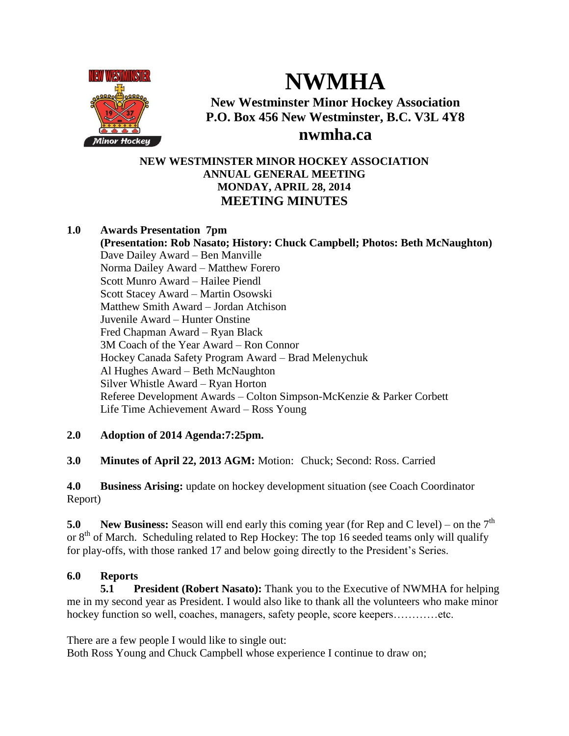

# **NWMHA**

# **New Westminster Minor Hockey Association P.O. Box 456 New Westminster, B.C. V3L 4Y8**

# **nwmha.ca**

# **NEW WESTMINSTER MINOR HOCKEY ASSOCIATION ANNUAL GENERAL MEETING MONDAY, APRIL 28, 2014 MEETING MINUTES**

# **1.0 Awards Presentation 7pm**

**(Presentation: Rob Nasato; History: Chuck Campbell; Photos: Beth McNaughton)** Dave Dailey Award – Ben Manville Norma Dailey Award – Matthew Forero Scott Munro Award – Hailee Piendl Scott Stacey Award – Martin Osowski Matthew Smith Award – Jordan Atchison Juvenile Award – Hunter Onstine Fred Chapman Award – Ryan Black 3M Coach of the Year Award – Ron Connor Hockey Canada Safety Program Award – Brad Melenychuk Al Hughes Award – Beth McNaughton Silver Whistle Award – Ryan Horton Referee Development Awards – Colton Simpson-McKenzie & Parker Corbett Life Time Achievement Award – Ross Young

# **2.0 Adoption of 2014 Agenda:7:25pm.**

**3.0 Minutes of April 22, 2013 AGM:** Motion: Chuck; Second: Ross. Carried

**4.0 Business Arising:** update on hockey development situation (see Coach Coordinator Report)

**5.0 New Business:** Season will end early this coming year (for Rep and C level) – on the 7<sup>th</sup> or  $8<sup>th</sup>$  of March. Scheduling related to Rep Hockey: The top 16 seeded teams only will qualify for play-offs, with those ranked 17 and below going directly to the President's Series.

# **6.0 Reports**

**5.1 President (Robert Nasato):** Thank you to the Executive of NWMHA for helping me in my second year as President. I would also like to thank all the volunteers who make minor hockey function so well, coaches, managers, safety people, score keepers.............etc.

There are a few people I would like to single out:

Both Ross Young and Chuck Campbell whose experience I continue to draw on;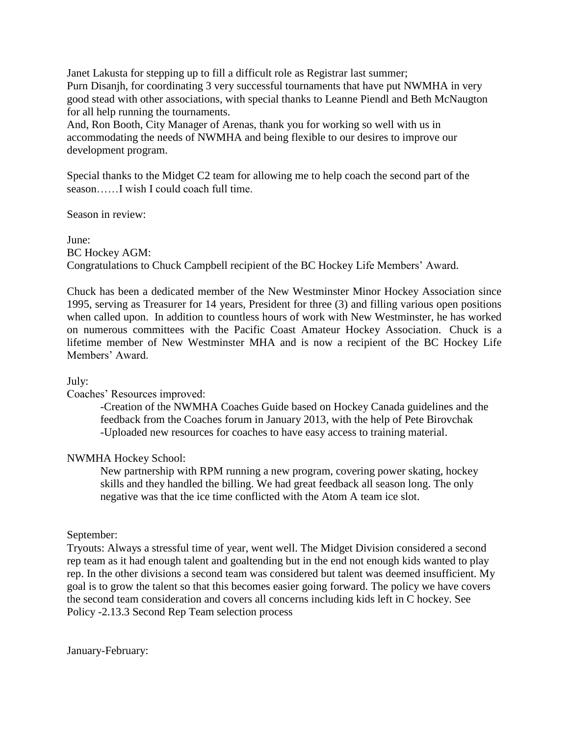Janet Lakusta for stepping up to fill a difficult role as Registrar last summer; Purn Disanjh, for coordinating 3 very successful tournaments that have put NWMHA in very good stead with other associations, with special thanks to Leanne Piendl and Beth McNaugton for all help running the tournaments.

And, Ron Booth, City Manager of Arenas, thank you for working so well with us in accommodating the needs of NWMHA and being flexible to our desires to improve our development program.

Special thanks to the Midget C2 team for allowing me to help coach the second part of the season……I wish I could coach full time.

Season in review:

June: BC Hockey AGM: Congratulations to Chuck Campbell recipient of the BC Hockey Life Members' Award.

Chuck has been a dedicated member of the New Westminster Minor Hockey Association since 1995, serving as Treasurer for 14 years, President for three (3) and filling various open positions when called upon. In addition to countless hours of work with New Westminster, he has worked on numerous committees with the Pacific Coast Amateur Hockey Association. Chuck is a lifetime member of New Westminster MHA and is now a recipient of the BC Hockey Life Members' Award.

# July:

#### Coaches' Resources improved:

-Creation of the NWMHA Coaches Guide based on Hockey Canada guidelines and the feedback from the Coaches forum in January 2013, with the help of Pete Birovchak -Uploaded new resources for coaches to have easy access to training material.

# NWMHA Hockey School:

New partnership with RPM running a new program, covering power skating, hockey skills and they handled the billing. We had great feedback all season long. The only negative was that the ice time conflicted with the Atom A team ice slot.

#### September:

Tryouts: Always a stressful time of year, went well. The Midget Division considered a second rep team as it had enough talent and goaltending but in the end not enough kids wanted to play rep. In the other divisions a second team was considered but talent was deemed insufficient. My goal is to grow the talent so that this becomes easier going forward. The policy we have covers the second team consideration and covers all concerns including kids left in C hockey. See Policy -2.13.3 Second Rep Team selection process

January-February: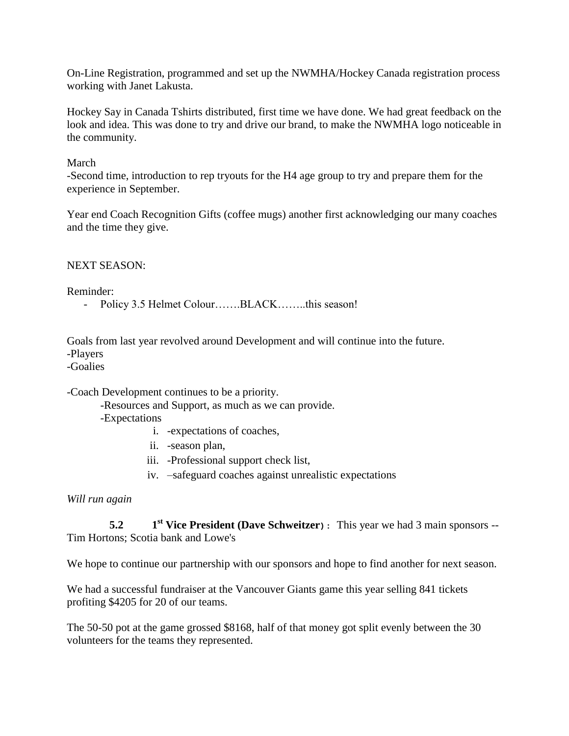On-Line Registration, programmed and set up the NWMHA/Hockey Canada registration process working with Janet Lakusta.

Hockey Say in Canada Tshirts distributed, first time we have done. We had great feedback on the look and idea. This was done to try and drive our brand, to make the NWMHA logo noticeable in the community.

#### March

-Second time, introduction to rep tryouts for the H4 age group to try and prepare them for the experience in September.

Year end Coach Recognition Gifts (coffee mugs) another first acknowledging our many coaches and the time they give.

#### NEXT SEASON:

Reminder:

- Policy 3.5 Helmet Colour…….BLACK……..this season!

Goals from last year revolved around Development and will continue into the future. -Players

-Goalies

-Coach Development continues to be a priority.

-Resources and Support, as much as we can provide.

-Expectations

- i. -expectations of coaches,
- ii. -season plan,
- iii. -Professional support check list,
- iv. –safeguard coaches against unrealistic expectations

*Will run again*

 $5.2$ **st Vice President (Dave Schweitzer):** This year we had 3 main sponsors -- Tim Hortons; Scotia bank and Lowe's

We hope to continue our partnership with our sponsors and hope to find another for next season.

We had a successful fundraiser at the Vancouver Giants game this year selling 841 tickets profiting \$4205 for 20 of our teams.

The 50-50 pot at the game grossed \$8168, half of that money got split evenly between the 30 volunteers for the teams they represented.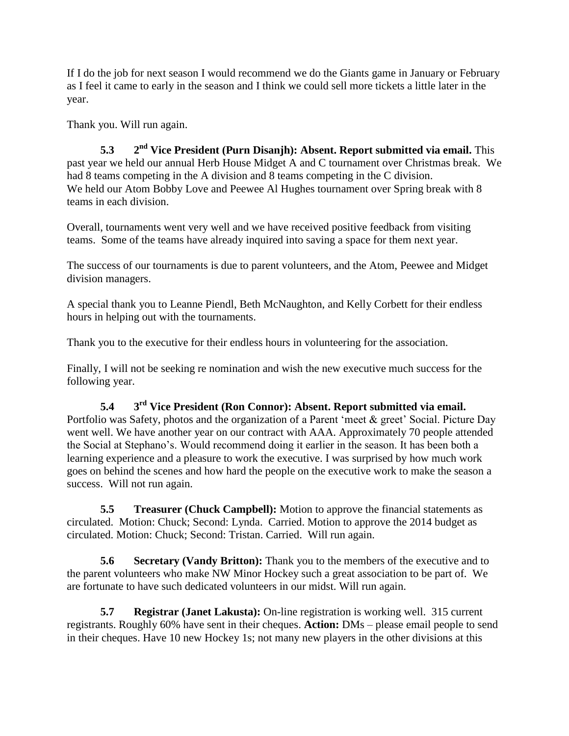If I do the job for next season I would recommend we do the Giants game in January or February as I feel it came to early in the season and I think we could sell more tickets a little later in the year.

Thank you. Will run again.

**5.3 2 nd Vice President (Purn Disanjh): Absent. Report submitted via email.** This past year we held our annual Herb House Midget A and C tournament over Christmas break. We had 8 teams competing in the A division and 8 teams competing in the C division. We held our Atom Bobby Love and Peewee Al Hughes tournament over Spring break with 8 teams in each division.

Overall, tournaments went very well and we have received positive feedback from visiting teams. Some of the teams have already inquired into saving a space for them next year.

The success of our tournaments is due to parent volunteers, and the Atom, Peewee and Midget division managers.

A special thank you to Leanne Piendl, Beth McNaughton, and Kelly Corbett for their endless hours in helping out with the tournaments.

Thank you to the executive for their endless hours in volunteering for the association.

Finally, I will not be seeking re nomination and wish the new executive much success for the following year.

**5.4 3 rd Vice President (Ron Connor): Absent. Report submitted via email.**  Portfolio was Safety, photos and the organization of a Parent 'meet & greet' Social. Picture Day went well. We have another year on our contract with AAA. Approximately 70 people attended the Social at Stephano's. Would recommend doing it earlier in the season. It has been both a learning experience and a pleasure to work the executive. I was surprised by how much work goes on behind the scenes and how hard the people on the executive work to make the season a success. Will not run again.

**5.5 Treasurer (Chuck Campbell):** Motion to approve the financial statements as circulated. Motion: Chuck; Second: Lynda. Carried. Motion to approve the 2014 budget as circulated. Motion: Chuck; Second: Tristan. Carried. Will run again.

**5.6 Secretary (Vandy Britton):** Thank you to the members of the executive and to the parent volunteers who make NW Minor Hockey such a great association to be part of. We are fortunate to have such dedicated volunteers in our midst. Will run again.

**5.7 Registrar (Janet Lakusta):** On-line registration is working well. 315 current registrants. Roughly 60% have sent in their cheques. **Action:** DMs – please email people to send in their cheques. Have 10 new Hockey 1s; not many new players in the other divisions at this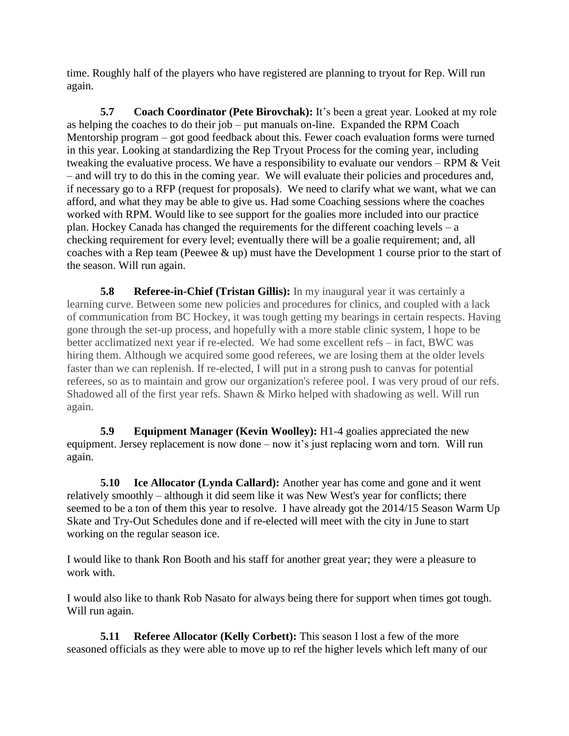time. Roughly half of the players who have registered are planning to tryout for Rep. Will run again.

**5.7 Coach Coordinator (Pete Birovchak):** It's been a great year. Looked at my role as helping the coaches to do their job – put manuals on-line. Expanded the RPM Coach Mentorship program – got good feedback about this. Fewer coach evaluation forms were turned in this year. Looking at standardizing the Rep Tryout Process for the coming year, including tweaking the evaluative process. We have a responsibility to evaluate our vendors – RPM  $&$  Veit – and will try to do this in the coming year. We will evaluate their policies and procedures and, if necessary go to a RFP (request for proposals). We need to clarify what we want, what we can afford, and what they may be able to give us. Had some Coaching sessions where the coaches worked with RPM. Would like to see support for the goalies more included into our practice plan. Hockey Canada has changed the requirements for the different coaching levels – a checking requirement for every level; eventually there will be a goalie requirement; and, all coaches with a Rep team (Peewee & up) must have the Development 1 course prior to the start of the season. Will run again.

**5.8 Referee-in-Chief (Tristan Gillis):** In my inaugural year it was certainly a learning curve. Between some new policies and procedures for clinics, and coupled with a lack of communication from BC Hockey, it was tough getting my bearings in certain respects. Having gone through the set-up process, and hopefully with a more stable clinic system, I hope to be better acclimatized next year if re-elected. We had some excellent refs – in fact, BWC was hiring them. Although we acquired some good referees, we are losing them at the older levels faster than we can replenish. If re-elected, I will put in a strong push to canvas for potential referees, so as to maintain and grow our organization's referee pool. I was very proud of our refs. Shadowed all of the first year refs. Shawn & Mirko helped with shadowing as well. Will run again.

**5.9 Equipment Manager (Kevin Woolley):** H1-4 goalies appreciated the new equipment. Jersey replacement is now done – now it's just replacing worn and torn. Will run again.

**5.10 Ice Allocator (Lynda Callard):** Another year has come and gone and it went relatively smoothly – although it did seem like it was New West's year for conflicts; there seemed to be a ton of them this year to resolve. I have already got the 2014/15 Season Warm Up Skate and Try-Out Schedules done and if re-elected will meet with the city in June to start working on the regular season ice.

I would like to thank Ron Booth and his staff for another great year; they were a pleasure to work with.

I would also like to thank Rob Nasato for always being there for support when times got tough. Will run again.

**5.11 Referee Allocator (Kelly Corbett):** This season I lost a few of the more seasoned officials as they were able to move up to ref the higher levels which left many of our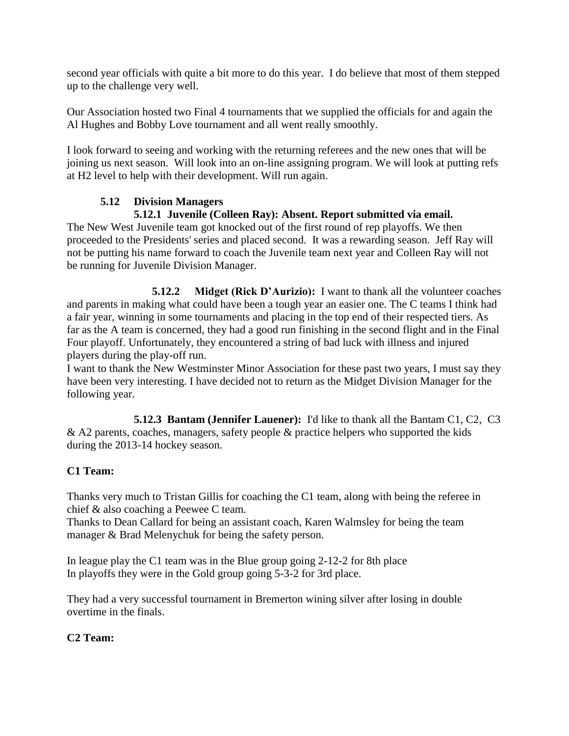second year officials with quite a bit more to do this year. I do believe that most of them stepped up to the challenge very well.

Our Association hosted two Final 4 tournaments that we supplied the officials for and again the Al Hughes and Bobby Love tournament and all went really smoothly.

I look forward to seeing and working with the returning referees and the new ones that will be joining us next season. Will look into an on-line assigning program. We will look at putting refs at H2 level to help with their development. Will run again.

# **5.12 Division Managers**

# **5.12.1 Juvenile (Colleen Ray): Absent. Report submitted via email.**

The New West Juvenile team got knocked out of the first round of rep playoffs. We then proceeded to the Presidents' series and placed second. It was a rewarding season. Jeff Ray will not be putting his name forward to coach the Juvenile team next year and Colleen Ray will not be running for Juvenile Division Manager.

**5.12.2 Midget (Rick D'Aurizio):** I want to thank all the volunteer coaches and parents in making what could have been a tough year an easier one. The C teams I think had a fair year, winning in some tournaments and placing in the top end of their respected tiers. As far as the A team is concerned, they had a good run finishing in the second flight and in the Final Four playoff. Unfortunately, they encountered a string of bad luck with illness and injured players during the play-off run.

I want to thank the New Westminster Minor Association for these past two years, I must say they have been very interesting. I have decided not to return as the Midget Division Manager for the following year.

**5.12.3 Bantam (Jennifer Lauener):** I'd like to thank all the Bantam C1, C2, C3 & A2 parents, coaches, managers, safety people & practice helpers who supported the kids during the 2013-14 hockey season.

# **C1 Team:**

Thanks very much to Tristan Gillis for coaching the C1 team, along with being the referee in chief & also coaching a Peewee C team.

Thanks to Dean Callard for being an assistant coach, Karen Walmsley for being the team manager & Brad Melenychuk for being the safety person.

In league play the C1 team was in the Blue group going 2-12-2 for 8th place In playoffs they were in the Gold group going 5-3-2 for 3rd place.

They had a very successful tournament in Bremerton wining silver after losing in double overtime in the finals.

# **C2 Team:**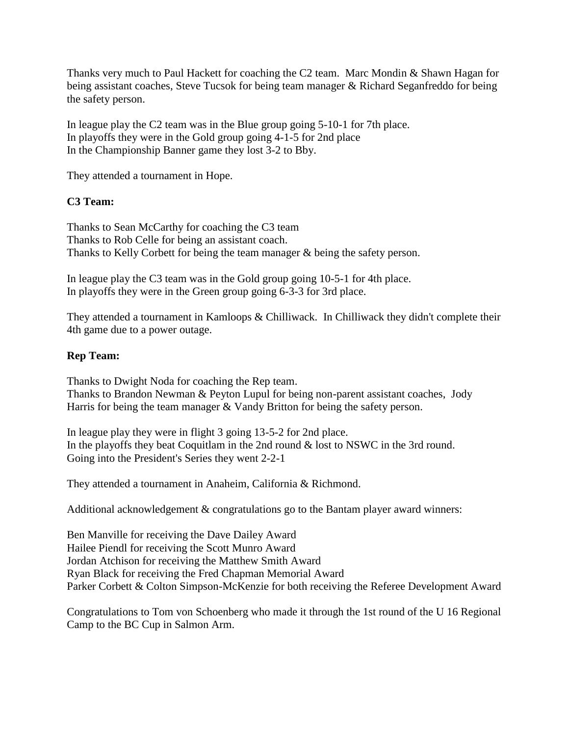Thanks very much to Paul Hackett for coaching the C2 team. Marc Mondin & Shawn Hagan for being assistant coaches, Steve Tucsok for being team manager & Richard Seganfreddo for being the safety person.

In league play the C2 team was in the Blue group going 5-10-1 for 7th place. In playoffs they were in the Gold group going 4-1-5 for 2nd place In the Championship Banner game they lost 3-2 to Bby.

They attended a tournament in Hope.

# **C3 Team:**

Thanks to Sean McCarthy for coaching the C3 team Thanks to Rob Celle for being an assistant coach. Thanks to Kelly Corbett for being the team manager & being the safety person.

In league play the C3 team was in the Gold group going 10-5-1 for 4th place. In playoffs they were in the Green group going 6-3-3 for 3rd place.

They attended a tournament in Kamloops & Chilliwack. In Chilliwack they didn't complete their 4th game due to a power outage.

#### **Rep Team:**

Thanks to Dwight Noda for coaching the Rep team. Thanks to Brandon Newman & Peyton Lupul for being non-parent assistant coaches, Jody Harris for being the team manager & Vandy Britton for being the safety person.

In league play they were in flight 3 going 13-5-2 for 2nd place. In the playoffs they beat Coquitlam in the 2nd round & lost to NSWC in the 3rd round. Going into the President's Series they went 2-2-1

They attended a tournament in Anaheim, California & Richmond.

Additional acknowledgement & congratulations go to the Bantam player award winners:

Ben Manville for receiving the Dave Dailey Award Hailee Piendl for receiving the Scott Munro Award Jordan Atchison for receiving the Matthew Smith Award Ryan Black for receiving the Fred Chapman Memorial Award Parker Corbett & Colton Simpson-McKenzie for both receiving the Referee Development Award

Congratulations to Tom von Schoenberg who made it through the 1st round of the U 16 Regional Camp to the BC Cup in Salmon Arm.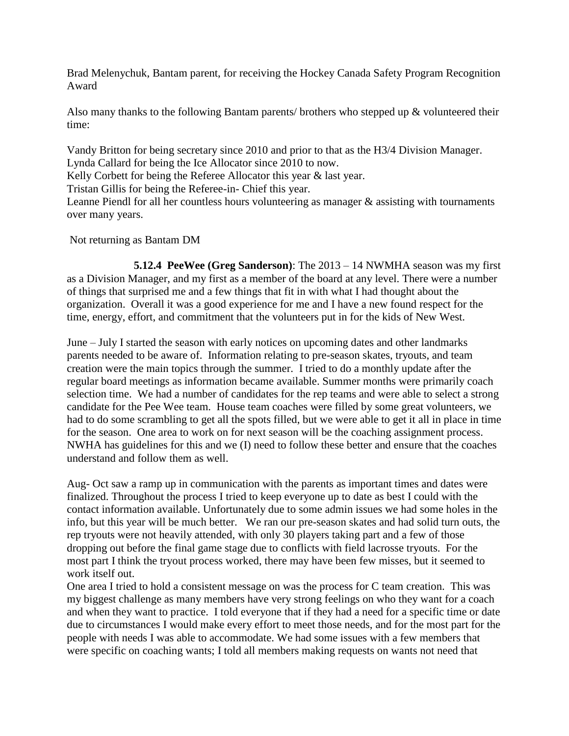Brad Melenychuk, Bantam parent, for receiving the Hockey Canada Safety Program Recognition Award

Also many thanks to the following Bantam parents/ brothers who stepped up & volunteered their time:

Vandy Britton for being secretary since 2010 and prior to that as the H3/4 Division Manager. Lynda Callard for being the Ice Allocator since 2010 to now.

Kelly Corbett for being the Referee Allocator this year & last year.

Tristan Gillis for being the Referee-in- Chief this year.

Leanne Piendl for all her countless hours volunteering as manager & assisting with tournaments over many years.

Not returning as Bantam DM

**5.12.4 PeeWee (Greg Sanderson)**: The 2013 – 14 NWMHA season was my first as a Division Manager, and my first as a member of the board at any level. There were a number of things that surprised me and a few things that fit in with what I had thought about the organization. Overall it was a good experience for me and I have a new found respect for the time, energy, effort, and commitment that the volunteers put in for the kids of New West.

June – July I started the season with early notices on upcoming dates and other landmarks parents needed to be aware of. Information relating to pre-season skates, tryouts, and team creation were the main topics through the summer. I tried to do a monthly update after the regular board meetings as information became available. Summer months were primarily coach selection time. We had a number of candidates for the rep teams and were able to select a strong candidate for the Pee Wee team. House team coaches were filled by some great volunteers, we had to do some scrambling to get all the spots filled, but we were able to get it all in place in time for the season. One area to work on for next season will be the coaching assignment process. NWHA has guidelines for this and we (I) need to follow these better and ensure that the coaches understand and follow them as well.

Aug- Oct saw a ramp up in communication with the parents as important times and dates were finalized. Throughout the process I tried to keep everyone up to date as best I could with the contact information available. Unfortunately due to some admin issues we had some holes in the info, but this year will be much better. We ran our pre-season skates and had solid turn outs, the rep tryouts were not heavily attended, with only 30 players taking part and a few of those dropping out before the final game stage due to conflicts with field lacrosse tryouts. For the most part I think the tryout process worked, there may have been few misses, but it seemed to work itself out.

One area I tried to hold a consistent message on was the process for C team creation. This was my biggest challenge as many members have very strong feelings on who they want for a coach and when they want to practice. I told everyone that if they had a need for a specific time or date due to circumstances I would make every effort to meet those needs, and for the most part for the people with needs I was able to accommodate. We had some issues with a few members that were specific on coaching wants; I told all members making requests on wants not need that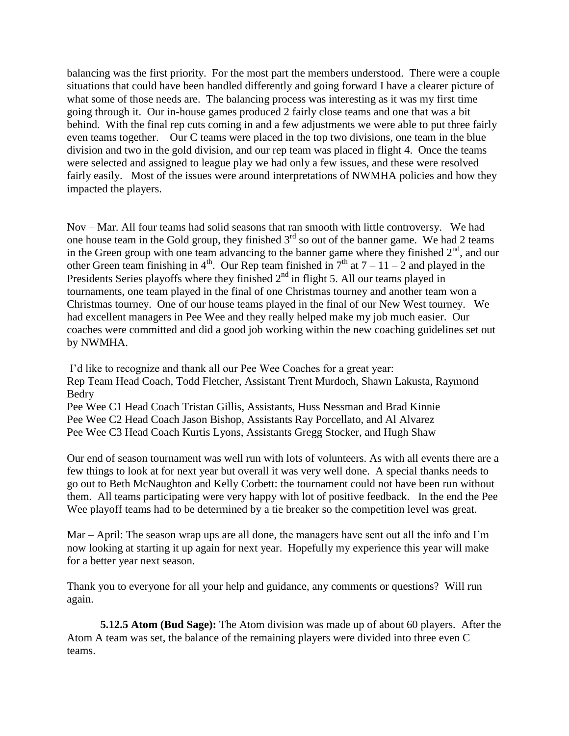balancing was the first priority. For the most part the members understood. There were a couple situations that could have been handled differently and going forward I have a clearer picture of what some of those needs are. The balancing process was interesting as it was my first time going through it. Our in-house games produced 2 fairly close teams and one that was a bit behind. With the final rep cuts coming in and a few adjustments we were able to put three fairly even teams together. Our C teams were placed in the top two divisions, one team in the blue division and two in the gold division, and our rep team was placed in flight 4. Once the teams were selected and assigned to league play we had only a few issues, and these were resolved fairly easily. Most of the issues were around interpretations of NWMHA policies and how they impacted the players.

Nov – Mar. All four teams had solid seasons that ran smooth with little controversy. We had one house team in the Gold group, they finished 3<sup>rd</sup> so out of the banner game. We had 2 teams in the Green group with one team advancing to the banner game where they finished  $2<sup>nd</sup>$ , and our other Green team finishing in 4<sup>th</sup>. Our Rep team finished in  $7<sup>th</sup>$  at  $7-11-2$  and played in the Presidents Series playoffs where they finished  $2<sup>nd</sup>$  in flight 5. All our teams played in tournaments, one team played in the final of one Christmas tourney and another team won a Christmas tourney. One of our house teams played in the final of our New West tourney. We had excellent managers in Pee Wee and they really helped make my job much easier. Our coaches were committed and did a good job working within the new coaching guidelines set out by NWMHA.

I'd like to recognize and thank all our Pee Wee Coaches for a great year: Rep Team Head Coach, Todd Fletcher, Assistant Trent Murdoch, Shawn Lakusta, Raymond Bedry Pee Wee C1 Head Coach Tristan Gillis, Assistants, Huss Nessman and Brad Kinnie Pee Wee C2 Head Coach Jason Bishop, Assistants Ray Porcellato, and Al Alvarez

Pee Wee C3 Head Coach Kurtis Lyons, Assistants Gregg Stocker, and Hugh Shaw

Our end of season tournament was well run with lots of volunteers. As with all events there are a few things to look at for next year but overall it was very well done. A special thanks needs to go out to Beth McNaughton and Kelly Corbett: the tournament could not have been run without them. All teams participating were very happy with lot of positive feedback. In the end the Pee Wee playoff teams had to be determined by a tie breaker so the competition level was great.

Mar – April: The season wrap ups are all done, the managers have sent out all the info and I'm now looking at starting it up again for next year. Hopefully my experience this year will make for a better year next season.

Thank you to everyone for all your help and guidance, any comments or questions? Will run again.

**5.12.5 Atom (Bud Sage):** The Atom division was made up of about 60 players. After the Atom A team was set, the balance of the remaining players were divided into three even C teams.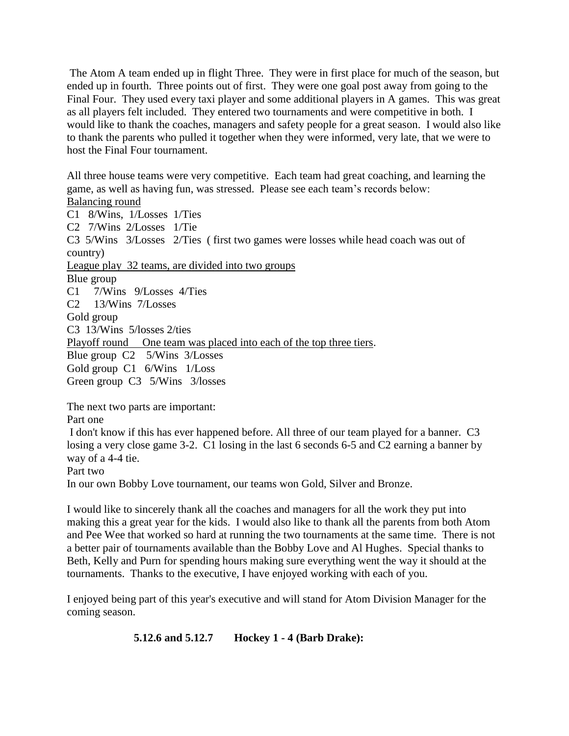The Atom A team ended up in flight Three. They were in first place for much of the season, but ended up in fourth. Three points out of first. They were one goal post away from going to the Final Four. They used every taxi player and some additional players in A games. This was great as all players felt included. They entered two tournaments and were competitive in both. I would like to thank the coaches, managers and safety people for a great season. I would also like to thank the parents who pulled it together when they were informed, very late, that we were to host the Final Four tournament.

All three house teams were very competitive. Each team had great coaching, and learning the game, as well as having fun, was stressed. Please see each team's records below: Balancing round C1 8/Wins, 1/Losses 1/Ties C2 7/Wins 2/Losses 1/Tie C3 5/Wins 3/Losses 2/Ties ( first two games were losses while head coach was out of country) League play 32 teams, are divided into two groups Blue group C1 7/Wins 9/Losses 4/Ties C2 13/Wins 7/Losses Gold group C3 13/Wins 5/losses 2/ties Playoff round One team was placed into each of the top three tiers. Blue group C2 5/Wins 3/Losses Gold group C1 6/Wins 1/Loss Green group C3 5/Wins 3/losses The next two parts are important:

Part one

I don't know if this has ever happened before. All three of our team played for a banner. C3 losing a very close game 3-2. C1 losing in the last 6 seconds 6-5 and C2 earning a banner by way of a 4-4 tie.

Part two

In our own Bobby Love tournament, our teams won Gold, Silver and Bronze.

I would like to sincerely thank all the coaches and managers for all the work they put into making this a great year for the kids. I would also like to thank all the parents from both Atom and Pee Wee that worked so hard at running the two tournaments at the same time. There is not a better pair of tournaments available than the Bobby Love and Al Hughes. Special thanks to Beth, Kelly and Purn for spending hours making sure everything went the way it should at the tournaments. Thanks to the executive, I have enjoyed working with each of you.

I enjoyed being part of this year's executive and will stand for Atom Division Manager for the coming season.

**5.12.6 and 5.12.7 Hockey 1 - 4 (Barb Drake):**